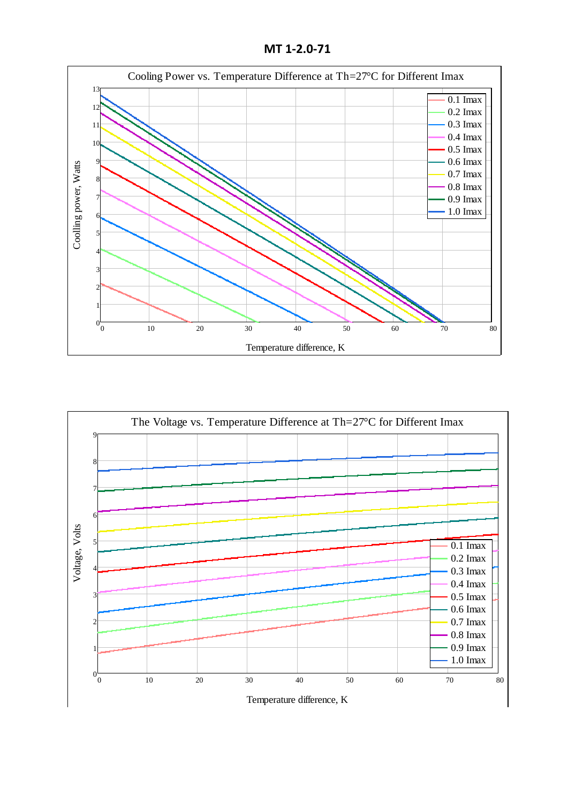**MT 1-2.0-71**